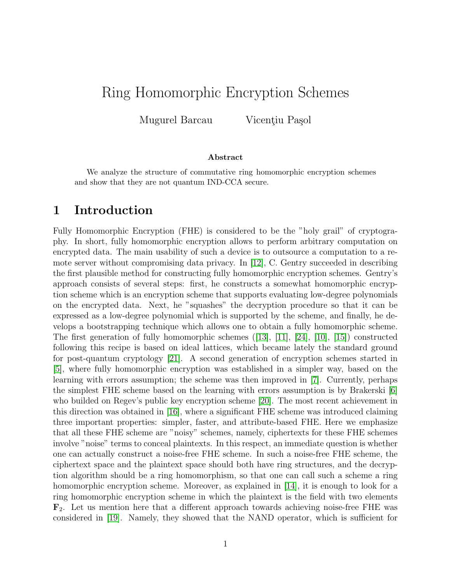# Ring Homomorphic Encryption Schemes

Mugurel Barcau Vicențiu Pașol

#### Abstract

We analyze the structure of commutative ring homomorphic encryption schemes and show that they are not quantum IND-CCA secure.

### 1 Introduction

Fully Homomorphic Encryption (FHE) is considered to be the "holy grail" of cryptography. In short, fully homomorphic encryption allows to perform arbitrary computation on encrypted data. The main usability of such a device is to outsource a computation to a remote server without compromising data privacy. In [\[12\]](#page-15-0), C. Gentry succeeded in describing the first plausible method for constructing fully homomorphic encryption schemes. Gentry's approach consists of several steps: first, he constructs a somewhat homomorphic encryption scheme which is an encryption scheme that supports evaluating low-degree polynomials on the encrypted data. Next, he "squashes" the decryption procedure so that it can be expressed as a low-degree polynomial which is supported by the scheme, and finally, he develops a bootstrapping technique which allows one to obtain a fully homomorphic scheme. The first generation of fully homomorphic schemes  $([13], [11], [24], [10], [15])$  $([13], [11], [24], [10], [15])$  $([13], [11], [24], [10], [15])$  $([13], [11], [24], [10], [15])$  $([13], [11], [24], [10], [15])$  $([13], [11], [24], [10], [15])$  $([13], [11], [24], [10], [15])$  $([13], [11], [24], [10], [15])$  $([13], [11], [24], [10], [15])$  $([13], [11], [24], [10], [15])$  $([13], [11], [24], [10], [15])$  constructed following this recipe is based on ideal lattices, which became lately the standard ground for post-quantum cryptology [\[21\]](#page-16-1). A second generation of encryption schemes started in [\[5\]](#page-15-5), where fully homomorphic encryption was established in a simpler way, based on the learning with errors assumption; the scheme was then improved in [\[7\]](#page-15-6). Currently, perhaps the simplest FHE scheme based on the learning with errors assumption is by Brakerski [\[6\]](#page-15-7) who builded on Regev's public key encryption scheme [\[20\]](#page-16-2). The most recent achievement in this direction was obtained in [\[16\]](#page-16-3), where a significant FHE scheme was introduced claiming three important properties: simpler, faster, and attribute-based FHE. Here we emphasize that all these FHE scheme are "noisy" schemes, namely, ciphertexts for these FHE schemes involve "noise" terms to conceal plaintexts. In this respect, an immediate question is whether one can actually construct a noise-free FHE scheme. In such a noise-free FHE scheme, the ciphertext space and the plaintext space should both have ring structures, and the decryption algorithm should be a ring homomorphism, so that one can call such a scheme a ring homomorphic encryption scheme. Moreover, as explained in [\[14\]](#page-15-8), it is enough to look for a ring homomorphic encryption scheme in which the plaintext is the field with two elements  $\mathbf{F}_2$ . Let us mention here that a different approach towards achieving noise-free FHE was considered in [\[19\]](#page-16-4). Namely, they showed that the NAND operator, which is sufficient for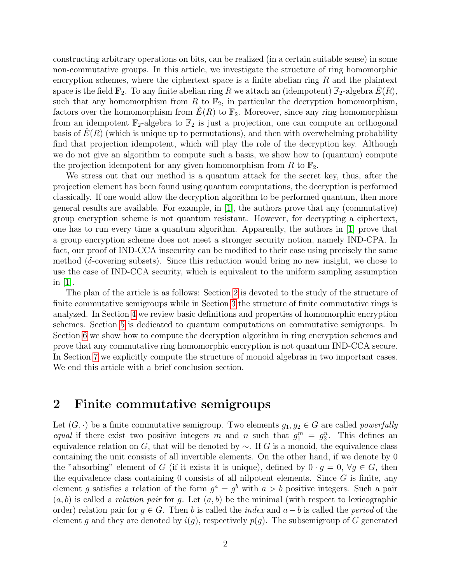constructing arbitrary operations on bits, can be realized (in a certain suitable sense) in some non-commutative groups. In this article, we investigate the structure of ring homomorphic encryption schemes, where the ciphertext space is a finite abelian ring  $R$  and the plaintext space is the field  $\mathbf{F}_2$ . To any finite abelian ring R we attach an (idempotent)  $\mathbb{F}_2$ -algebra  $E(R)$ , such that any homomorphism from R to  $\mathbb{F}_2$ , in particular the decryption homomorphism, factors over the homomorphism from  $E(R)$  to  $\mathbb{F}_2$ . Moreover, since any ring homomorphism from an idempotent  $\mathbb{F}_2$ -algebra to  $\mathbb{F}_2$  is just a projection, one can compute an orthogonal basis of  $E(R)$  (which is unique up to permutations), and then with overwhelming probability find that projection idempotent, which will play the role of the decryption key. Although we do not give an algorithm to compute such a basis, we show how to (quantum) compute the projection idempotent for any given homomorphism from R to  $\mathbb{F}_2$ .

We stress out that our method is a quantum attack for the secret key, thus, after the projection element has been found using quantum computations, the decryption is performed classically. If one would allow the decryption algorithm to be performed quantum, then more general results are available. For example, in [\[1\]](#page-14-0), the authors prove that any (commutative) group encryption scheme is not quantum resistant. However, for decrypting a ciphertext, one has to run every time a quantum algorithm. Apparently, the authors in [\[1\]](#page-14-0) prove that a group encryption scheme does not meet a stronger security notion, namely IND-CPA. In fact, our proof of IND-CCA insecurity can be modified to their case using precisely the same method ( $\delta$ -covering subsets). Since this reduction would bring no new insight, we chose to use the case of IND-CCA security, which is equivalent to the uniform sampling assumption in [\[1\]](#page-14-0).

The plan of the article is as follows: Section [2](#page-1-0) is devoted to the study of the structure of finite commutative semigroups while in Section [3](#page-3-0) the structure of finite commutative rings is analyzed. In Section [4](#page-5-0) we review basic definitions and properties of homomorphic encryption schemes. Section [5](#page-7-0) is dedicated to quantum computations on commutative semigroups. In Section [6](#page-8-0) we show how to compute the decryption algorithm in ring encryption schemes and prove that any commutative ring homomorphic encryption is not quantum IND-CCA secure. In Section [7](#page-10-0) we explicitly compute the structure of monoid algebras in two important cases. We end this article with a brief conclusion section.

#### <span id="page-1-0"></span>2 Finite commutative semigroups

Let  $(G, \cdot)$  be a finite commutative semigroup. Two elements  $g_1, g_2 \in G$  are called *powerfully* equal if there exist two positive integers m and n such that  $g_1^m = g_2^n$ . This defines an equivalence relation on G, that will be denoted by  $\sim$ . If G is a monoid, the equivalence class containing the unit consists of all invertible elements. On the other hand, if we denote by 0 the "absorbing" element of G (if it exists it is unique), defined by  $0 \cdot g = 0$ ,  $\forall g \in G$ , then the equivalence class containing  $0$  consists of all nilpotent elements. Since  $G$  is finite, any element g satisfies a relation of the form  $g^a = g^b$  with  $a > b$  positive integers. Such a pair  $(a, b)$  is called a *relation pair* for g. Let  $(a, b)$  be the minimal (with respect to lexicographic order) relation pair for  $g \in G$ . Then b is called the *index* and  $a - b$  is called the *period* of the element g and they are denoted by  $i(g)$ , respectively  $p(g)$ . The subsemigroup of G generated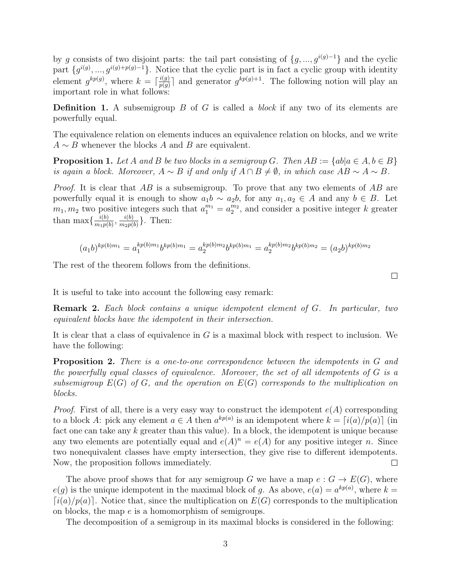by g consists of two disjoint parts: the tail part consisting of  $\{g, ..., g^{i(g)-1}\}\$  and the cyclic part  $\{g^{i(g)},...,g^{i(g)+p(g)-1}\}\$ . Notice that the cyclic part is in fact a cyclic group with identity element  $g^{kp(g)}$ , where  $k = \lceil \frac{i(g)}{n(g)} \rceil$  $\frac{i(g)}{p(g)}$  and generator  $g^{kp(g)+1}$ . The following notion will play an important role in what follows:

**Definition 1.** A subsemigroup  $B$  of  $G$  is called a *block* if any two of its elements are powerfully equal.

The equivalence relation on elements induces an equivalence relation on blocks, and we write  $A \sim B$  whenever the blocks A and B are equivalent.

**Proposition 1.** Let A and B be two blocks in a semigroup G. Then  $AB := \{ab | a \in A, b \in B\}$ is again a block. Moreover,  $A \sim B$  if and only if  $A \cap B \neq \emptyset$ , in which case  $AB \sim A \sim B$ .

*Proof.* It is clear that AB is a subsemigroup. To prove that any two elements of AB are powerfully equal it is enough to show  $a_1b \sim a_2b$ , for any  $a_1, a_2 \in A$  and any  $b \in B$ . Let  $m_1, m_2$  two positive integers such that  $a_1^{m_1} = a_2^{m_2}$ , and consider a positive integer k greater than max $\frac{i(b)}{m!n!}$  $\frac{i(b)}{m_1p(b)}, \frac{i(b)}{m_2p(b)}$  $\frac{i(b)}{m_2p(b)}\}$ . Then:

$$
(a_1b)^{kp(b)m_1} = a_1^{kp(b)m_1}b^{kp(b)m_1} = a_2^{kp(b)m_2}b^{kp(b)m_1} = a_2^{kp(b)m_2}b^{kp(b)m_2} = (a_2b)^{kp(b)m_2}
$$

The rest of the theorem follows from the definitions.

It is useful to take into account the following easy remark:

Remark 2. Each block contains a unique idempotent element of G. In particular, two equivalent blocks have the idempotent in their intersection.

It is clear that a class of equivalence in  $G$  is a maximal block with respect to inclusion. We have the following:

Proposition 2. There is a one-to-one correspondence between the idempotents in G and the powerfully equal classes of equivalence. Moreover, the set of all idempotents of G is a subsemigroup  $E(G)$  of G, and the operation on  $E(G)$  corresponds to the multiplication on blocks.

*Proof.* First of all, there is a very easy way to construct the idempotent  $e(A)$  corresponding to a block A: pick any element  $a \in A$  then  $a^{kp(a)}$  is an idempotent where  $k = \lceil i(a)/p(a) \rceil$  (in fact one can take any  $k$  greater than this value). In a block, the idempotent is unique because any two elements are potentially equal and  $e(A)^n = e(A)$  for any positive integer n. Since two nonequivalent classes have empty intersection, they give rise to different idempotents. Now, the proposition follows immediately.  $\Box$ 

The above proof shows that for any semigroup G we have a map  $e : G \to E(G)$ , where  $e(g)$  is the unique idempotent in the maximal block of g. As above,  $e(a) = a^{kp(a)}$ , where  $k =$  $\lceil i(a)/p(a) \rceil$ . Notice that, since the multiplication on  $E(G)$  corresponds to the multiplication on blocks, the map e is a homomorphism of semigroups.

The decomposition of a semigroup in its maximal blocks is considered in the following:

 $\Box$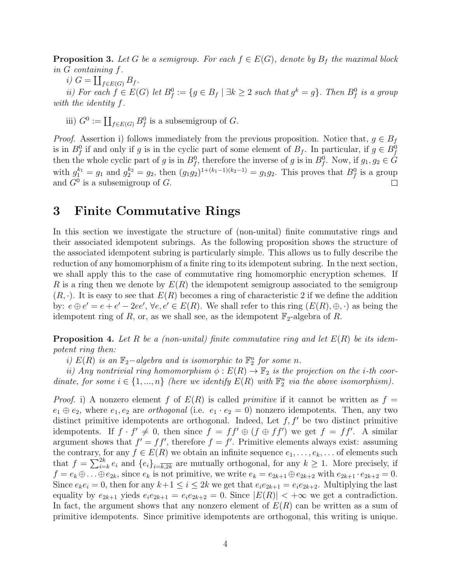<span id="page-3-2"></span>**Proposition 3.** Let G be a semigroup. For each  $f \in E(G)$ , denote by  $B_f$  the maximal block in G containing f.

i)  $G = \coprod_{f \in E(G)} B_f$ .

ii) For each  $f \in E(G)$  let  $B_f^0 := \{ g \in B_f \mid \exists k \geq 2 \text{ such that } g^k = g \}.$  Then  $B_f^0$  is a group with the identity f.

iii)  $G^0 := \coprod_{f \in E(G)} B_f^0$  is a subsemigroup of G.

*Proof.* Assertion i) follows immediately from the previous proposition. Notice that,  $g \in B_f$ is in  $B_f^0$  if and only if g is in the cyclic part of some element of  $B_f$ . In particular, if  $g \in B_f^0$ then the whole cyclic part of g is in  $B_f^0$ , therefore the inverse of g is in  $B_f^0$ . Now, if  $g_1, g_2 \in \tilde{G}$ with  $g_1^{k_1} = g_1$  and  $g_2^{k_2} = g_2$ , then  $(g_1g_2)^{1 + (k_1 - 1)(k_2 - 1)} = g_1g_2$ . This proves that  $B_f^0$  is a group and  $G^0$  is a subsemigroup of G.  $\Box$ 

### <span id="page-3-0"></span>3 Finite Commutative Rings

In this section we investigate the structure of (non-unital) finite commutative rings and their associated idempotent subrings. As the following proposition shows the structure of the associated idempotent subring is particularly simple. This allows us to fully describe the reduction of any homomorphism of a finite ring to its idempotent subring. In the next section, we shall apply this to the case of commutative ring homomorphic encryption schemes. If R is a ring then we denote by  $E(R)$  the idempotent semigroup associated to the semigroup  $(R, \cdot)$ . It is easy to see that  $E(R)$  becomes a ring of characteristic 2 if we define the addition by:  $e \oplus e' = e + e' - 2ee'$ ,  $\forall e, e' \in E(R)$ . We shall refer to this ring  $(E(R), \oplus, \cdot)$  as being the idempotent ring of R, or, as we shall see, as the idempotent  $\mathbb{F}_2$ -algebra of R.

<span id="page-3-1"></span>**Proposition 4.** Let R be a (non-unital) finite commutative ring and let  $E(R)$  be its idempotent ring then:

i)  $E(R)$  is an  $\mathbb{F}_2$ -algebra and is isomorphic to  $\mathbb{F}_2^n$  for some n.

ii) Any nontrivial ring homomorphism  $\phi: E(R) \to \mathbb{F}_2$  is the projection on the i-th coordinate, for some  $i \in \{1, ..., n\}$  (here we identify  $E(R)$  with  $\mathbb{F}_2^n$  via the above isomorphism).

*Proof.* i) A nonzero element f of  $E(R)$  is called *primitive* if it cannot be written as  $f =$  $e_1 \oplus e_2$ , where  $e_1, e_2$  are *orthogonal* (i.e.  $e_1 \cdot e_2 = 0$ ) nonzero idempotents. Then, any two distinct primitive idempotents are orthogonal. Indeed, Let  $f, f'$  be two distinct primitive idempotents. If  $f \cdot f' \neq 0$ , then since  $f = ff' \oplus (f \oplus ff')$  we get  $f = ff'$ . A similar argument shows that  $f' = ff'$ , therefore  $f = f'$ . Primitive elements always exist: assuming the contrary, for any  $f \in E(R)$  we obtain an infinite sequence  $e_1, \ldots, e_k, \ldots$  of elements such that  $f = \sum_{i=k}^{2k} e_i$  and  $\{e_i\}_{i=\overline{k,2k}}$  are mutually orthogonal, for any  $k \geq 1$ . More precisely, if  $f = e_k \oplus \ldots \oplus e_{2k}$ , since  $e_k$  is not primitive, we write  $e_k = e_{2k+1} \oplus e_{2k+2}$  with  $e_{2k+1} \cdot e_{2k+2} = 0$ . Since  $e_k e_i = 0$ , then for any  $k+1 \leq i \leq 2k$  we get that  $e_i e_{2k+1} = e_i e_{2k+2}$ . Multiplying the last equality by  $e_{2k+1}$  yieds  $e_i e_{2k+1} = e_i e_{2k+2} = 0$ . Since  $|E(R)| < +\infty$  we get a contradiction. In fact, the argument shows that any nonzero element of  $E(R)$  can be written as a sum of primitive idempotents. Since primitive idempotents are orthogonal, this writing is unique.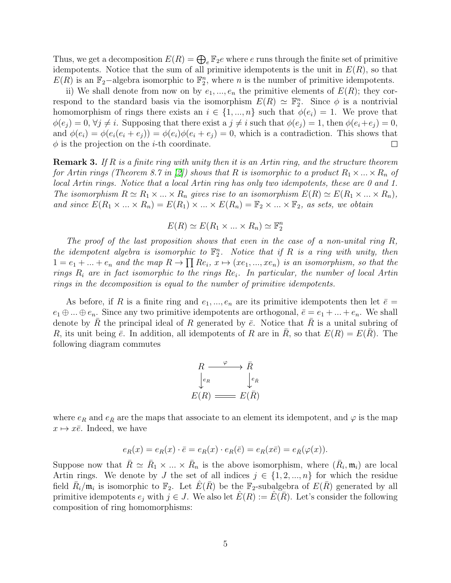Thus, we get a decomposition  $E(R) = \bigoplus_{e} \mathbb{F}_2 e$  where e runs through the finite set of primitive idempotents. Notice that the sum of all primitive idempotents is the unit in  $E(R)$ , so that  $E(R)$  is an  $\mathbb{F}_2$ -algebra isomorphic to  $\mathbb{F}_2^n$ , where n is the number of primitive idempotents.

ii) We shall denote from now on by  $e_1, ..., e_n$  the primitive elements of  $E(R)$ ; they correspond to the standard basis via the isomorphism  $E(R) \simeq \mathbb{F}_2^n$ . Since  $\phi$  is a nontrivial homomorphism of rings there exists an  $i \in \{1, ..., n\}$  such that  $\phi(e_i) = 1$ . We prove that  $\phi(e_i) = 0, \forall j \neq i$ . Supposing that there exist a  $j \neq i$  such that  $\phi(e_i) = 1$ , then  $\phi(e_i + e_j) = 0$ , and  $\phi(e_i) = \phi(e_i(e_i + e_j)) = \phi(e_i)\phi(e_i + e_j) = 0$ , which is a contradiction. This shows that  $\phi$  is the projection on the *i*-th coordinate.  $\Box$ 

**Remark 3.** If R is a finite ring with unity then it is an Artin ring, and the structure theorem for Artin rings (Theorem 8.7 in [\[2\]](#page-15-9)) shows that R is isomorphic to a product  $R_1 \times ... \times R_n$  of local Artin rings. Notice that a local Artin ring has only two idempotents, these are 0 and 1. The isomorphism  $R \simeq R_1 \times ... \times R_n$  gives rise to an isomorphism  $E(R) \simeq E(R_1 \times ... \times R_n)$ , and since  $E(R_1 \times ... \times R_n) = E(R_1) \times ... \times E(R_n) = \mathbb{F}_2 \times ... \times \mathbb{F}_2$ , as sets, we obtain

$$
E(R) \simeq E(R_1 \times \ldots \times R_n) \simeq \mathbb{F}_2^n
$$

The proof of the last proposition shows that even in the case of a non-unital ring  $R$ , the idempotent algebra is isomorphic to  $\mathbb{F}_2^n$ . Notice that if R is a ring with unity, then  $1 = e_1 + ... + e_n$  and the map  $R \to \prod Re_i, x \mapsto (xe_1, ..., xe_n)$  is an isomorphism, so that the rings  $R_i$  are in fact isomorphic to the rings  $Re_i$ . In particular, the number of local Artin rings in the decomposition is equal to the number of primitive idempotents.

As before, if R is a finite ring and  $e_1, ..., e_n$  are its primitive idempotents then let  $\bar{e} =$  $e_1 \oplus ... \oplus e_n$ . Since any two primitive idempotents are orthogonal,  $\overline{e} = e_1 + ... + e_n$ . We shall denote by R the principal ideal of R generated by  $\bar{e}$ . Notice that R is a unital subring of R, its unit being  $\bar{e}$ . In addition, all idempotents of R are in R, so that  $E(R) = E(R)$ . The following diagram commutes

$$
R \xrightarrow{\varphi} \bar{R}
$$
  
\n
$$
\downarrow^{e_R} \qquad \downarrow^{e_{\bar{R}}}
$$
  
\n
$$
E(R) \xrightarrow{\varphi} E(\bar{R})
$$

where  $e_R$  and  $e_{\bar{R}}$  are the maps that associate to an element its idempotent, and  $\varphi$  is the map  $x \mapsto x\overline{e}$ . Indeed, we have

$$
e_R(x) = e_R(x) \cdot \overline{e} = e_R(x) \cdot e_R(\overline{e}) = e_R(x\overline{e}) = e_{\overline{R}}(\varphi(x)).
$$

Suppose now that  $\bar{R} \simeq \bar{R}_1 \times ... \times \bar{R}_n$  is the above isomorphism, where  $(\bar{R}_i, \mathfrak{m}_i)$  are local Artin rings. We denote by J the set of all indices  $j \in \{1, 2, ..., n\}$  for which the residue field  $\bar{R}_i/\mathfrak{m}_i$  is isomorphic to  $\mathbb{F}_2$ . Let  $\hat{E}(\bar{R})$  be the  $\mathbb{F}_2$ -subalgebra of  $E(\bar{R})$  generated by all primitive idempotents  $e_j$  with  $j \in J$ . We also let  $\hat{E}(R) := \hat{E}(\bar{R})$ . Let's consider the following composition of ring homomorphisms: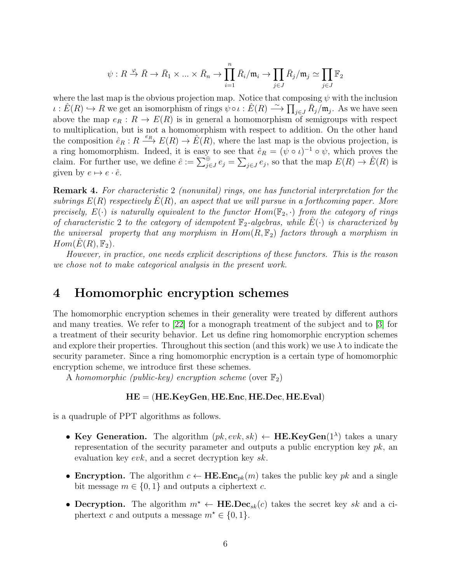$$
\psi: R \stackrel{\varphi}{\to} \bar{R} \to \bar{R}_1 \times \ldots \times \bar{R}_n \to \prod_{i=1}^n \bar{R}_i/\mathfrak{m}_i \to \prod_{j \in J} \bar{R}_j/\mathfrak{m}_j \simeq \prod_{j \in J} \mathbb{F}_2
$$

where the last map is the obvious projection map. Notice that composing  $\psi$  with the inclusion  $\iota : \hat{E}(R) \hookrightarrow R$  we get an isomorphism of rings  $\psi \circ \iota : \hat{E}(R) \longrightarrow \prod_{j \in J} \bar{R}_j / \mathfrak{m}_j$ . As we have seen above the map  $e_R : R \to E(R)$  is in general a homomorphism of semigroups with respect to multiplication, but is not a homomorphism with respect to addition. On the other hand the composition  $\hat{e}_R : R \stackrel{e_R}{\longrightarrow} E(R) \to \hat{E}(R)$ , where the last map is the obvious projection, is a ring homomorphism. Indeed, it is easy to see that  $\hat{e}_R = (\psi \circ \iota)^{-1} \circ \psi$ , which proves the claim. For further use, we define  $\hat{e} := \sum_{j\in J}^{\oplus} e_j = \sum_{j\in J} e_j$ , so that the map  $E(R) \to \hat{E}(R)$  is given by  $e \mapsto e \cdot \hat{e}$ .

Remark 4. For characteristic 2 (nonunital) rings, one has functorial interpretation for the subrings  $E(R)$  respectively  $E(R)$ , an aspect that we will pursue in a forthcoming paper. More precisely,  $E(\cdot)$  is naturally equivalent to the functor  $Hom(\mathbb{F}_2, \cdot)$  from the category of rings of characteristic 2 to the category of idempotent  $\mathbb{F}_2$ -algebras, while  $E(\cdot)$  is characterized by the universal property that any morphism in  $Hom(R, \mathbb{F}_2)$  factors through a morphism in  $Hom(E(R), \mathbb{F}_2).$ 

However, in practice, one needs explicit descriptions of these functors. This is the reason we chose not to make categorical analysis in the present work.

### <span id="page-5-0"></span>4 Homomorphic encryption schemes

The homomorphic encryption schemes in their generality were treated by different authors and many treaties. We refer to [\[22\]](#page-16-5) for a monograph treatment of the subject and to [\[3\]](#page-15-10) for a treatment of their security behavior. Let us define ring homomorphic encryption schemes and explore their properties. Throughout this section (and this work) we use  $\lambda$  to indicate the security parameter. Since a ring homomorphic encryption is a certain type of homomorphic encryption scheme, we introduce first these schemes.

A homomorphic (public-key) encryption scheme (over  $\mathbb{F}_2$ )

#### $HE = (HE.KeyGen, HE.Enc, HE. Dec, HE.Eval)$

is a quadruple of PPT algorithms as follows.

- Key Generation. The algorithm  $(pk, evk, sk) \leftarrow \textbf{HE}.\textbf{KeyGen}(1^{\lambda})$  takes a unary representation of the security parameter and outputs a public encryption key  $pk$ , and evaluation key evk, and a secret decryption key sk.
- Encryption. The algorithm  $c \leftarrow \textbf{HE}.\textbf{Enc}_{pk}(m)$  takes the public key pk and a single bit message  $m \in \{0, 1\}$  and outputs a ciphertext c.
- Decryption. The algorithm  $m^* \leftarrow \text{HE.Dec}_{sk}(c)$  takes the secret key sk and a ciphertext c and outputs a message  $m^* \in \{0, 1\}.$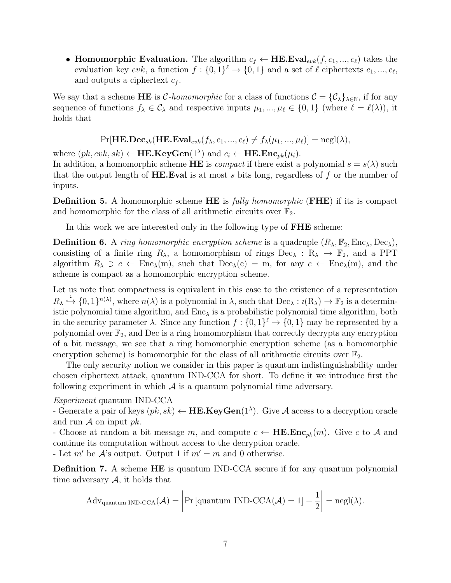• Homomorphic Evaluation. The algorithm  $c_f \leftarrow \text{HE.Eval}_{evk}(f, c_1, ..., c_\ell)$  takes the evaluation key  $evk$ , a function  $f: \{0,1\}^{\ell} \to \{0,1\}$  and a set of  $\ell$  ciphertexts  $c_1, ..., c_{\ell}$ , and outputs a ciphertext  $c_f$ .

We say that a scheme HE is C-homomorphic for a class of functions  $\mathcal{C} = {\mathcal{C}}_{\lambda}$ , if for any sequence of functions  $f_{\lambda} \in C_{\lambda}$  and respective inputs  $\mu_1, ..., \mu_{\ell} \in \{0, 1\}$  (where  $\ell = \ell(\lambda)$ ), it holds that

 $Pr[\mathbf{HE}.\mathbf{Dec}_{sk}(\mathbf{HE}.\mathbf{Eval}_{evk}(f_{\lambda}, c_1, ..., c_{\ell}) \neq f_{\lambda}(\mu_1, ..., \mu_{\ell})] = negl(\lambda),$ 

where  $(pk, evk, sk) \leftarrow \textbf{HE}.\textbf{KeyGen}(1^{\lambda})$  and  $c_i \leftarrow \textbf{HE}.\textbf{Enc}_{pk}(\mu_i)$ .

In addition, a homomorphic scheme HE is *compact* if there exist a polynomial  $s = s(\lambda)$  such that the output length of **HE. Eval** is at most s bits long, regardless of f or the number of inputs.

**Definition 5.** A homomorphic scheme HE is *fully homomorphic* (FHE) if its is compact and homomorphic for the class of all arithmetic circuits over  $\mathbb{F}_2$ .

In this work we are interested only in the following type of **FHE** scheme:

**Definition 6.** A ring homomorphic encryption scheme is a quadruple  $(R_{\lambda}, \mathbb{F}_2, \text{Enc}_{\lambda}, \text{Dec}_{\lambda}),$ consisting of a finite ring  $R_{\lambda}$ , a homomorphism of rings  $Dec_{\lambda}: R_{\lambda} \to \mathbb{F}_2$ , and a PPT algorithm  $R_{\lambda} \ni c \leftarrow \text{Enc}_{\lambda}(m)$ , such that  $\text{Dec}_{\lambda}(c) = m$ , for any  $c \leftarrow \text{Enc}_{\lambda}(m)$ , and the scheme is compact as a homomorphic encryption scheme.

Let us note that compactness is equivalent in this case to the existence of a representation  $R_{\lambda} \stackrel{i}{\hookrightarrow} \{0,1\}^{n(\lambda)}$ , where  $n(\lambda)$  is a polynomial in  $\lambda$ , such that  $\text{Dec}_{\lambda}: i(R_{\lambda}) \to \mathbb{F}_2$  is a deterministic polynomial time algorithm, and  $Enc_{\lambda}$  is a probabilistic polynomial time algorithm, both in the security parameter  $\lambda$ . Since any function  $f: \{0,1\}^{\ell} \to \{0,1\}$  may be represented by a polynomial over  $\mathbb{F}_2$ , and Dec is a ring homomorphism that correctly decrypts any encryption of a bit message, we see that a ring homomorphic encryption scheme (as a homomorphic encryption scheme) is homomorphic for the class of all arithmetic circuits over  $\mathbb{F}_2$ .

The only security notion we consider in this paper is quantum indistinguishability under chosen ciphertext attack, quantum IND-CCA for short. To define it we introduce first the following experiment in which  $\mathcal A$  is a quantum polynomial time adversary.

Experiment quantum IND-CCA

- Generate a pair of keys  $(pk, sk) \leftarrow \textbf{HE}.\textbf{KeyGen}(1^{\lambda})$ . Give A access to a decryption oracle and run  $\mathcal A$  on input  $pk$ .

- Choose at random a bit message m, and compute  $c \leftarrow \textbf{HE}.\textbf{Enc}_{pk}(m)$ . Give c to A and continue its computation without access to the decryption oracle.

- Let m' be  $\mathcal{A}$ 's output. Output 1 if  $m' = m$  and 0 otherwise.

Definition 7. A scheme HE is quantum IND-CCA secure if for any quantum polynomial time adversary  $A$ , it holds that

$$
Adv_{quantum \; IND\text{-}CCA}(\mathcal{A}) = \left| \Pr\left[quantum \; IND\text{-}CCA(\mathcal{A})=1\right] - \frac{1}{2} \right| = negl(\lambda).
$$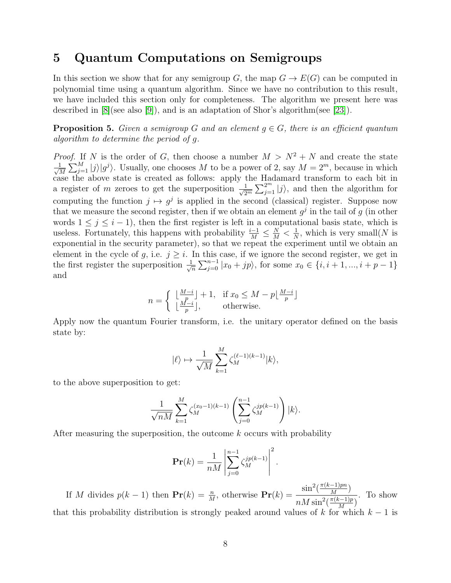### <span id="page-7-0"></span>5 Quantum Computations on Semigroups

In this section we show that for any semigroup G, the map  $G \to E(G)$  can be computed in polynomial time using a quantum algorithm. Since we have no contribution to this result, we have included this section only for completeness. The algorithm we present here was described in  $[8]$ (see also  $[9]$ ), and is an adaptation of Shor's algorithm(see  $[23]$ ).

**Proposition 5.** Given a semigroup G and an element  $q \in G$ , there is an efficient quantum algorithm to determine the period of g.

*Proof.* If N is the order of G, then choose a number  $M > N^2 + N$  and create the state  $\frac{1}{\sqrt{2}}$  $\frac{1}{M}\sum_{j=1}^{M}|j\rangle|g^{j}\rangle$ . Usually, one chooses M to be a power of 2, say  $M=2^{m}$ , because in which case the above state is created as follows: apply the Hadamard transform to each bit in a register of m zeroes to get the superposition  $\frac{1}{\sqrt{2}}$  $\frac{1}{2^m}\sum_{j=1}^{2^m} |j\rangle$ , and then the algorithm for computing the function  $j \mapsto g^j$  is applied in the second (classical) register. Suppose now that we measure the second register, then if we obtain an element  $g^j$  in the tail of g (in other words  $1 \leq j \leq i - 1$ , then the first register is left in a computational basis state, which is useless. Fortunately, this happens with probability  $\frac{i-1}{M} \leq \frac{N}{M} < \frac{1}{N}$  $\frac{1}{N}$ , which is very small(N is exponential in the security parameter), so that we repeat the experiment until we obtain an element in the cycle of g, i.e.  $j \geq i$ . In this case, if we ignore the second register, we get in the first register the superposition  $\frac{1}{\sqrt{2}}$  $\frac{1}{n}\sum_{j=0}^{n-1} |x_0 + jp\rangle$ , for some  $x_0 \in \{i, i+1, ..., i+p-1\}$ and

$$
n = \begin{cases} \lfloor \frac{M-i}{p} \rfloor + 1, & \text{if } x_0 \le M - p \lfloor \frac{M-i}{p} \rfloor \\ \lfloor \frac{M-i}{p} \rfloor, & \text{otherwise.} \end{cases}
$$

Apply now the quantum Fourier transform, i.e. the unitary operator defined on the basis state by:

$$
|\ell\rangle \mapsto \frac{1}{\sqrt{M}} \sum_{k=1}^{M} \zeta_M^{(\ell-1)(k-1)} |k\rangle,
$$

to the above superposition to get:

$$
\frac{1}{\sqrt{nM}} \sum_{k=1}^{M} \zeta_M^{(x_0-1)(k-1)} \left( \sum_{j=0}^{n-1} \zeta_M^{jp(k-1)} \right) |k\rangle.
$$

After measuring the superposition, the outcome k occurs with probability

$$
\Pr(k) = \frac{1}{nM} \left| \sum_{j=0}^{n-1} \zeta_M^{jp(k-1)} \right|^2.
$$

If M divides  $p(k-1)$  then  $\mathbf{Pr}(k) = \frac{n}{M}$ , otherwise  $\mathbf{Pr}(k) = \frac{\sin^2(\frac{\pi(k-1)pn}{M})}{n^{\frac{M}{M}\sin^2(\frac{\pi(k-1)}{M})}}$  $\frac{-1)pn}{M}$ )  $nM\sin^2(\frac{\pi(k-1)p}{M})$  $\frac{x-1}{M}\big)$ . To show that this probability distribution is strongly peaked around values of k for which  $k - 1$  is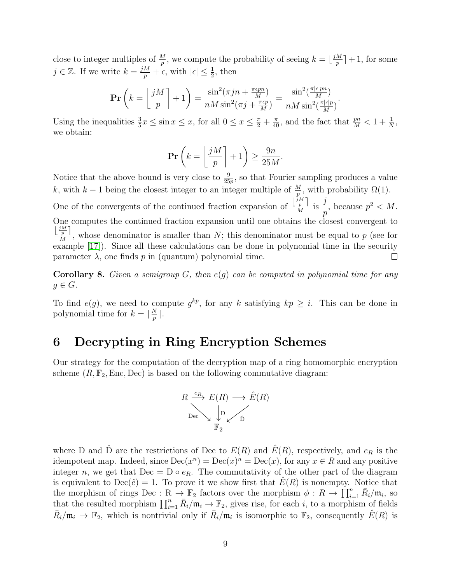close to integer multiples of  $\frac{M}{p}$ , we compute the probability of seeing  $k = \lfloor \frac{jM}{p} \rfloor$  $\frac{M}{p}$  + 1, for some  $j \in \mathbb{Z}$ . If we write  $k = \frac{jM}{p} + \epsilon$ , with  $|\epsilon| \leq \frac{1}{2}$ , then

$$
\mathbf{Pr}\left(k=\left\lfloor\frac{jM}{p}\right\rfloor+1\right)=\frac{\sin^2(\pi jn+\frac{\pi\epsilon pn}{M})}{nM\sin^2(\pi j+\frac{\pi\epsilon p}{M})}=\frac{\sin^2(\frac{\pi|\epsilon|pn}{M})}{nM\sin^2(\frac{\pi|\epsilon|p}{M})}.
$$

Using the inequalities  $\frac{3}{5}x \leq \sin x \leq x$ , for all  $0 \leq x \leq \frac{\pi}{2} + \frac{\pi}{40}$ , and the fact that  $\frac{pn}{M} < 1 + \frac{1}{N}$ , we obtain:

$$
\Pr\left(k = \left\lfloor \frac{jM}{p} \right\rfloor + 1\right) \ge \frac{9n}{25M}.
$$

Notice that the above bound is very close to  $\frac{9}{25p}$ , so that Fourier sampling produces a value k, with  $k-1$  being the closest integer to an integer multiple of  $\frac{M}{p}$ , with probability  $\Omega(1)$ .

One of the convergents of the continued fraction expansion of  $\frac{\frac{jM}{p}}{M}$ j , because  $p^2 < M$ .  $\frac{p}{M}$  is p One computes the continued fraction expansion until one obtains the closest convergent to  $\lfloor \frac{jM}{p} \rfloor$  $\frac{p-1}{M}$ , whose denominator is smaller than N; this denominator must be equal to p (see for example [\[17\]](#page-16-7)). Since all these calculations can be done in polynomial time in the security parameter  $\lambda$ , one finds p in (quantum) polynomial time.  $\Box$ 

**Corollary 8.** Given a semigroup G, then  $e(g)$  can be computed in polynomial time for any  $g \in G$ .

To find  $e(g)$ , we need to compute  $g^{kp}$ , for any k satisfying  $kp \geq i$ . This can be done in polynomial time for  $k = \lceil \frac{N}{n} \rceil$  $\frac{N}{p}$  ].

## <span id="page-8-0"></span>6 Decrypting in Ring Encryption Schemes

Our strategy for the computation of the decryption map of a ring homomorphic encryption scheme  $(R, \mathbb{F}_2, \text{Enc}, \text{Dec})$  is based on the following commutative diagram:



where D and  $\hat{D}$  are the restrictions of Dec to  $E(R)$  and  $\hat{E}(R)$ , respectively, and  $e_R$  is the idempotent map. Indeed, since  $\text{Dec}(x^n) = \text{Dec}(x)^n = \text{Dec}(x)$ , for any  $x \in R$  and any positive integer n, we get that  $Dec = D \circ e_R$ . The commutativity of the other part of the diagram is equivalent to  $\text{Dec}(\hat{e}) = 1$ . To prove it we show first that  $E(R)$  is nonempty. Notice that the morphism of rings Dec:  $R \to \mathbb{F}_2$  factors over the morphism  $\phi: R \to \prod_{i=1}^n \bar{R}_i/\mathfrak{m}_i$ , so that the resulted morphism  $\prod_{i=1}^n \bar{R}_i/\mathfrak{m}_i \to \mathbb{F}_2$ , gives rise, for each i, to a morphism of fields  $\bar{R}_i/\mathfrak{m}_i \to \mathbb{F}_2$ , which is nontrivial only if  $\bar{R}_i/\mathfrak{m}_i$  is isomorphic to  $\mathbb{F}_2$ , consequently  $\hat{E}(R)$  is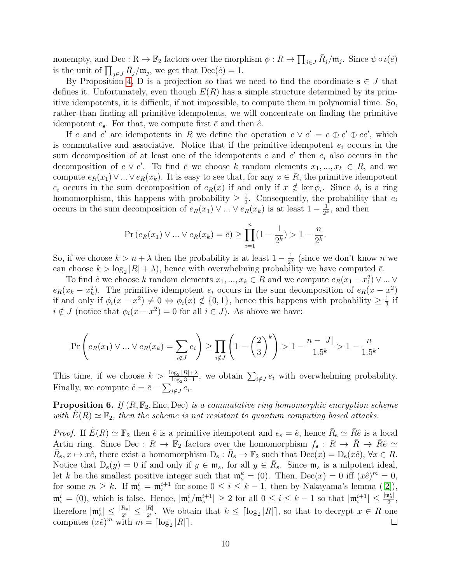nonempty, and Dec : R  $\to \mathbb{F}_2$  factors over the morphism  $\phi: R \to \prod_{j \in J} \bar{R}_j/\mathfrak{m}_j$ . Since  $\psi \circ \iota(\hat{e})$ is the unit of  $\prod_{j\in J} \bar{R}_j/\mathfrak{m}_j$ , we get that  $\text{Dec}(\hat{e}) = 1$ .

By Proposition [4,](#page-3-1) D is a projection so that we need to find the coordinate  $s \in J$  that defines it. Unfortunately, even though  $E(R)$  has a simple structure determined by its primitive idempotents, it is difficult, if not impossible, to compute them in polynomial time. So, rather than finding all primitive idempotents, we will concentrate on finding the primitive idempotent  $e_s$ . For that, we compute first  $\bar{e}$  and then  $\hat{e}$ .

If e and e' are idempotents in R we define the operation  $e \vee e' = e \oplus e' \oplus ee'$ , which is commutative and associative. Notice that if the primitive idempotent  $e_i$  occurs in the sum decomposition of at least one of the idempotents  $e$  and  $e'$  then  $e_i$  also occurs in the decomposition of  $e \vee e'$ . To find  $\overline{e}$  we choose k random elements  $x_1, ..., x_k \in R$ , and we compute  $e_R(x_1) \vee ... \vee e_R(x_k)$ . It is easy to see that, for any  $x \in R$ , the primitive idempotent  $e_i$  occurs in the sum decomposition of  $e_R(x)$  if and only if  $x \notin \text{ker } \phi_i$ . Since  $\phi_i$  is a ring homomorphism, this happens with probability  $\geq \frac{1}{2}$  $\frac{1}{2}$ . Consequently, the probability that  $e_i$ occurs in the sum decomposition of  $e_R(x_1) \vee ... \vee e_R(x_k)$  is at least  $1 - \frac{1}{2^k}$  $\frac{1}{2^k}$ , and then

$$
\Pr\left(e_R(x_1) \vee \dots \vee e_R(x_k) = \bar{e}\right) \ge \prod_{i=1}^n (1 - \frac{1}{2^k}) > 1 - \frac{n}{2^k}.
$$

So, if we choose  $k > n + \lambda$  then the probability is at least  $1 - \frac{1}{2^{\lambda}}$  $\frac{1}{2^{\lambda}}$  (since we don't know *n* we can choose  $k > \log_2 |R| + \lambda$ , hence with overwhelming probability we have computed  $\bar{e}$ .

To find  $\hat{e}$  we choose k random elements  $x_1, ..., x_k \in R$  and we compute  $e_R(x_1 - x_1^2) \vee ... \vee$  $e_R(x_k - x_k^2)$ . The primitive idempotent  $e_i$  occurs in the sum decomposition of  $e_R(x - x^2)$ if and only if  $\phi_i(x-x^2) \neq 0 \Leftrightarrow \phi_i(x) \notin \{0,1\}$ , hence this happens with probability  $\geq \frac{1}{3}$  $rac{1}{3}$  if  $i \notin J$  (notice that  $\phi_i(x - x^2) = 0$  for all  $i \in J$ ). As above we have:

$$
\Pr\left(e_R(x_1) \lor \dots \lor e_R(x_k) = \sum_{i \notin J} e_i\right) \ge \prod_{i \notin J} \left(1 - \left(\frac{2}{3}\right)^k\right) > 1 - \frac{n - |J|}{1.5^k} > 1 - \frac{n}{1.5^k}.
$$

This time, if we choose  $k > \frac{\log_2 |R| + \lambda}{\log_2 3}$  $\frac{\log_2 |R| + \lambda}{\log_2 3 - 1}$ , we obtain  $\sum_{i \notin J} e_i$  with overwhelming probability. Finally, we compute  $\hat{e} = \bar{e} - \sum_{i \notin J} e_i$ .

**Proposition 6.** If  $(R, \mathbb{F}_2, \text{Enc}, \text{Dec})$  is a commutative ring homomorphic encryption scheme with  $E(R) \simeq \mathbb{F}_2$ , then the scheme is not resistant to quantum computing based attacks.

*Proof.* If  $\hat{E}(R) \simeq \mathbb{F}_2$  then  $\hat{e}$  is a primitive idempotent and  $e_s = \hat{e}$ , hence  $\bar{R}_s \simeq \bar{R}\hat{e}$  is a local Artin ring. Since Dec :  $R \to \mathbb{F}_2$  factors over the homomorphism  $f_s: R \to R \to R\hat{e} \simeq$  $\overline{R}_{s}$ ,  $x \mapsto x\hat{e}$ , there exist a homomorphism  $D_{s} : \overline{R}_{s} \to \mathbb{F}_{2}$  such that  $\overline{Dec}(x) = D_{s}(x\hat{e}), \forall x \in R$ . Notice that  $D_s(y) = 0$  if and only if  $y \in \mathfrak{m}_s$ , for all  $y \in \overline{R}_s$ . Since  $\mathfrak{m}_s$  is a nilpotent ideal, let k be the smallest positive integer such that  $\mathfrak{m}_s^k = (0)$ . Then,  $\text{Dec}(x) = 0$  iff  $(x\hat{e})^m = 0$ , for some  $m \geq k$ . If  $\mathfrak{m}_s^i = \mathfrak{m}_s^{i+1}$  for some  $0 \leq i \leq k-1$ , then by Nakayama's lemma ([\[2\]](#page-15-9)),  $\mathfrak{m}_s^i = (0)$ , which is false. Hence,  $|\mathfrak{m}_s^i / \mathfrak{m}_s^{i+1}| \geq 2$  for all  $0 \leq i \leq k-1$  so that  $|\mathfrak{m}_s^{i+1}| \leq \frac{|\mathfrak{m}_s^i|}{2}$  $\frac{\mathfrak{n}_s^\iota}{2},$ therefore  $|\mathfrak{m}_s^i| \leq \frac{|\bar{R}_s|}{2^i} \leq \frac{|R|}{2^i}$  $\frac{R_1}{2^i}$ . We obtain that  $k \leq \lceil \log_2 |R| \rceil$ , so that to decrypt  $x \in R$  one computes  $(x\hat{e})^m$  with  $m = \lceil \log_2 |R| \rceil$ .  $\Box$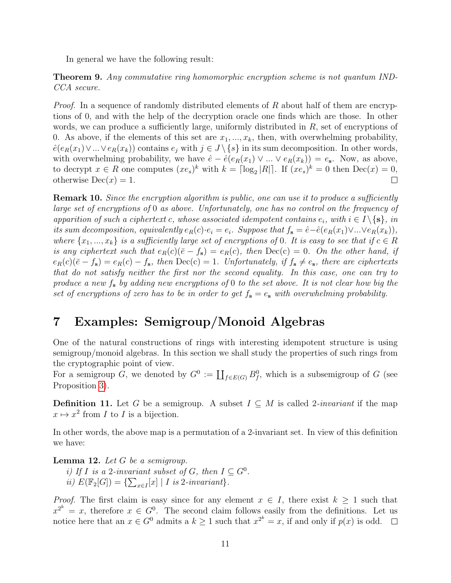In general we have the following result:

Theorem 9. Any commutative ring homomorphic encryption scheme is not quantum IND-CCA secure.

*Proof.* In a sequence of randomly distributed elements of  $R$  about half of them are encryptions of 0, and with the help of the decryption oracle one finds which are those. In other words, we can produce a sufficiently large, uniformly distributed in R, set of encryptions of 0. As above, if the elements of this set are  $x_1, \ldots, x_k$ , then, with overwhelming probability,  $\hat{e}(e_R(x_1) \vee ... \vee e_R(x_k))$  contains  $e_j$  with  $j \in J \setminus \{s\}$  in its sum decomposition. In other words, with overwhelming probability, we have  $\hat{e} - \hat{e}(e_R(x_1) \vee ... \vee e_R(x_k)) = e_s$ . Now, as above, to decrypt  $x \in R$  one computes  $(xe_s)^k$  with  $k = \lceil \log_2 |R| \rceil$ . If  $(xe_s)^k = 0$  then  $\text{Dec}(x) = 0$ , otherwise  $Dec(x) = 1$ .  $\Box$ 

**Remark 10.** Since the encryption algorithm is public, one can use it to produce a sufficiently large set of encryptions of 0 as above. Unfortunately, one has no control on the frequency of apparition of such a ciphertext c, whose associated idempotent contains  $e_i$ , with  $i \in I \setminus \{s\}$ , in its sum decomposition, equivalently  $e_R(c) \cdot e_i = e_i$ . Suppose that  $f_s = \hat{e} - \hat{e}(e_R(x_1) \vee ... \vee e_R(x_k)),$ where  $\{x_1, ..., x_k\}$  is a sufficiently large set of encryptions of 0. It is easy to see that if  $c \in R$ is any ciphertext such that  $e_R(c)(\bar{e}-f_s) = e_R(c)$ , then  $Dec(c) = 0$ . On the other hand, if  $e_R(c)(\bar{e}-f_s)=e_R(c)-f_s$ , then  $Dec(c)=1$ . Unfortunately, if  $f_s \neq e_s$ , there are ciphertexts that do not satisfy neither the first nor the second equality. In this case, one can try to produce a new  $f_s$  by adding new encryptions of 0 to the set above. It is not clear how big the set of encryptions of zero has to be in order to get  $f_s = e_s$  with overwhelming probability.

# <span id="page-10-0"></span>7 Examples: Semigroup/Monoid Algebras

One of the natural constructions of rings with interesting idempotent structure is using semigroup/monoid algebras. In this section we shall study the properties of such rings from the cryptographic point of view.

For a semigroup G, we denoted by  $G^0 := \coprod_{f \in E(G)} B_f^0$ , which is a subsemigroup of G (see Proposition [3\)](#page-3-2).

**Definition 11.** Let G be a semigroup. A subset  $I \subseteq M$  is called 2-*invariant* if the map  $x \mapsto x^2$  from *I* to *I* is a bijection.

In other words, the above map is a permutation of a 2-invariant set. In view of this definition we have:

**Lemma 12.** Let  $G$  be a semigroup.

i) If I is a 2-invariant subset of G, then  $I \subseteq G^0$ . ii)  $E(\mathbb{F}_2[G]) = \{ \sum_{x \in I}[x] \mid I \text{ is } 2\text{-invariant} \}.$ 

*Proof.* The first claim is easy since for any element  $x \in I$ , there exist  $k \geq 1$  such that  $x^{2^k} = x$ , therefore  $x \in G^0$ . The second claim follows easily from the definitions. Let us notice here that an  $x \in G^0$  admits a  $k \ge 1$  such that  $x^{2^k} = x$ , if and only if  $p(x)$  is odd.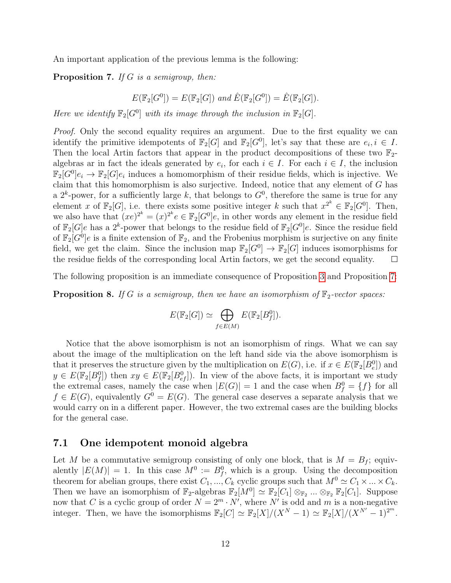An important application of the previous lemma is the following:

<span id="page-11-0"></span>**Proposition 7.** If G is a semigroup, then:

$$
E(\mathbb{F}_2[G^0]) = E(\mathbb{F}_2[G]) \text{ and } \hat{E}(\mathbb{F}_2[G^0]) = \hat{E}(\mathbb{F}_2[G]).
$$

Here we identify  $\mathbb{F}_2[G^0]$  with its image through the inclusion in  $\mathbb{F}_2[G]$ .

*Proof.* Only the second equality requires an argument. Due to the first equality we can identify the primitive idempotents of  $\mathbb{F}_2[G]$  and  $\mathbb{F}_2[G^0]$ , let's say that these are  $e_i, i \in I$ . Then the local Artin factors that appear in the product decompositions of these two  $\mathbb{F}_2$ algebras ar in fact the ideals generated by  $e_i$ , for each  $i \in I$ . For each  $i \in I$ , the inclusion  $\mathbb{F}_2[G^0]e_i \to \mathbb{F}_2[G]e_i$  induces a homomorphism of their residue fields, which is injective. We claim that this homomorphism is also surjective. Indeed, notice that any element of G has a  $2^k$ -power, for a sufficiently large k, that belongs to  $G^0$ , therefore the same is true for any element x of  $\mathbb{F}_2[G]$ , i.e. there exists some positive integer k such that  $x^{2^k} \in \mathbb{F}_2[G^0]$ . Then, we also have that  $(xe)^{2^k} = (x)^{2^k} e \in \mathbb{F}_2[G^0]e$ , in other words any element in the residue field of  $\mathbb{F}_2[G]e$  has a  $2^k$ -power that belongs to the residue field of  $\mathbb{F}_2[G^0]e$ . Since the residue field of  $\mathbb{F}_2[G^0]e$  is a finite extension of  $\mathbb{F}_2$ , and the Frobenius morphism is surjective on any finite field, we get the claim. Since the inclusion map  $\mathbb{F}_2[G^0] \to \mathbb{F}_2[G]$  induces isomorphisms for the residue fields of the corresponding local Artin factors, we get the second equality.  $\Box$ 

The following proposition is an immediate consequence of Proposition [3](#page-3-2) and Proposition [7:](#page-11-0)

**Proposition 8.** If G is a semigroup, then we have an isomorphism of  $\mathbb{F}_2$ -vector spaces:

$$
E(\mathbb{F}_2[G]) \simeq \bigoplus_{f \in E(M)} E(\mathbb{F}_2[B_f^0]).
$$

Notice that the above isomorphism is not an isomorphism of rings. What we can say about the image of the multiplication on the left hand side via the above isomorphism is that it preserves the structure given by the multiplication on  $E(G)$ , i.e. if  $x \in E(\mathbb{F}_2[B_e^0])$  and  $y \in E(\mathbb{F}_2[B_j^0])$  then  $xy \in E(\mathbb{F}_2[B_{ef}^0])$ . In view of the above facts, it is important we study the extremal cases, namely the case when  $|E(G)| = 1$  and the case when  $B_f^0 = \{f\}$  for all  $f \in E(G)$ , equivalently  $G^0 = E(G)$ . The general case deserves a separate analysis that we would carry on in a different paper. However, the two extremal cases are the building blocks for the general case.

#### 7.1 One idempotent monoid algebra

Let M be a commutative semigroup consisting of only one block, that is  $M = B_f$ ; equivalently  $|E(M)| = 1$ . In this case  $M^0 := B_f^0$ , which is a group. Using the decomposition theorem for abelian groups, there exist  $C_1, ..., C_k$  cyclic groups such that  $M^0 \simeq C_1 \times ... \times C_k$ . Then we have an isomorphism of  $\mathbb{F}_2$ -algebras  $\mathbb{F}_2[M^0] \simeq \mathbb{F}_2[C_1] \otimes_{\mathbb{F}_2} \ldots \otimes_{\mathbb{F}_2} \mathbb{F}_2[C_1]$ . Suppose now that C is a cyclic group of order  $N = 2^m \cdot N'$ , where N' is odd and m is a non-negative integer. Then, we have the isomorphisms  $\mathbb{F}_2[C] \simeq \mathbb{F}_2[X]/(X^N - 1) \simeq \mathbb{F}_2[X]/(X^{N'} - 1)^{2^m}$ .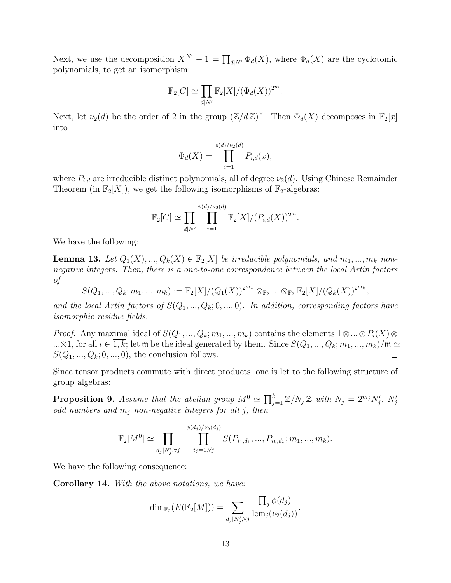Next, we use the decomposition  $X^{N'} - 1 = \prod_{d|N'} \Phi_d(X)$ , where  $\Phi_d(X)$  are the cyclotomic polynomials, to get an isomorphism:

$$
\mathbb{F}_2[C] \simeq \prod_{d|N'} \mathbb{F}_2[X] / (\Phi_d(X))^{2^m}.
$$

Next, let  $\nu_2(d)$  be the order of 2 in the group  $(\mathbb{Z}/d\mathbb{Z})^{\times}$ . Then  $\Phi_d(X)$  decomposes in  $\mathbb{F}_2[x]$ into

$$
\Phi_d(X) = \prod_{i=1}^{\phi(d)/\nu_2(d)} P_{i,d}(x),
$$

where  $P_{i,d}$  are irreducible distinct polynomials, all of degree  $\nu_2(d)$ . Using Chinese Remainder Theorem (in  $\mathbb{F}_2[X]$ ), we get the following isomorphisms of  $\mathbb{F}_2$ -algebras:

$$
\mathbb{F}_2[C] \simeq \prod_{d|N'} \prod_{i=1}^{\phi(d)/\nu_2(d)} \mathbb{F}_2[X]/(P_{i,d}(X))^{2^m}.
$$

We have the following:

<span id="page-12-0"></span>**Lemma 13.** Let  $Q_1(X),...,Q_k(X) \in \mathbb{F}_2[X]$  be irreducible polynomials, and  $m_1,...,m_k$  nonnegative integers. Then, there is a one-to-one correspondence between the local Artin factors of

$$
S(Q_1, ..., Q_k; m_1, ..., m_k) := \mathbb{F}_2[X]/(Q_1(X))^{2^{m_1}} \otimes_{\mathbb{F}_2} ... \otimes_{\mathbb{F}_2} \mathbb{F}_2[X]/(Q_k(X))^{2^{m_k}},
$$

and the local Artin factors of  $S(Q_1, ..., Q_k; 0, ..., 0)$ . In addition, corresponding factors have isomorphic residue fields.

*Proof.* Any maximal ideal of  $S(Q_1, ..., Q_k; m_1, ..., m_k)$  contains the elements  $1 \otimes ... \otimes P_i(X) \otimes ...$ ...⊗1, for all  $i \in \overline{1,k}$ ; let  $\mathfrak m$  be the ideal generated by them. Since  $S(Q_1, ..., Q_k; m_1, ..., m_k)/\mathfrak m \simeq$  $S(Q_1, ..., Q_k; 0, ..., 0)$ , the conclusion follows.  $\Box$ 

Since tensor products commute with direct products, one is let to the following structure of group algebras:

<span id="page-12-1"></span>**Proposition 9.** Assume that the abelian group  $M^0 \simeq \prod_{j=1}^k \mathbb{Z}/N_j \mathbb{Z}$  with  $N_j = 2^{m_j} N'_j$ ,  $N'_j$ odd numbers and  $m_j$  non-negative integers for all j, then

$$
\mathbb{F}_2[M^0] \simeq \prod_{d_j|N'_j,\forall j} \prod_{i_j=1,\forall j}^{\phi(d_j)/\nu_2(d_j)} S(P_{i_1,d_1},...,P_{i_k,d_k};m_1,...,m_k).
$$

We have the following consequence:

Corollary 14. With the above notations, we have:

$$
\dim_{\mathbb{F}_2}(E(\mathbb{F}_2[M])) = \sum_{d_j \mid N'_j, \forall j} \frac{\prod_j \phi(d_j)}{\operatorname{lcm}_j(\nu_2(d_j))}.
$$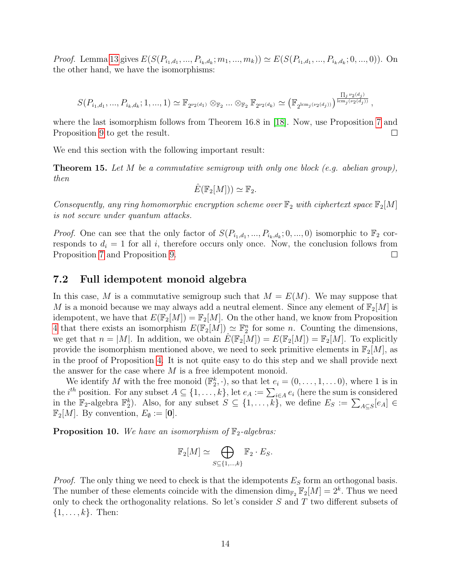*Proof.* Lemma [13](#page-12-0) gives  $E(S(P_{i_1,d_1},...,P_{i_k,d_k};m_1,...,m_k)) \simeq E(S(P_{i_1,d_1},...,P_{i_k,d_k};0,...,0)).$  On the other hand, we have the isomorphisms:

$$
S(P_{i_1,d_1},...,P_{i_k,d_k};1,...,1) \simeq \mathbb{F}_{2^{\nu_2(d_1)}} \otimes_{\mathbb{F}_2} ... \otimes_{\mathbb{F}_2} \mathbb{F}_{2^{\nu_2(d_k)}} \simeq (\mathbb{F}_{2^{\text{lem}_j(\nu_2(d_j))}})^{\frac{\prod_j \nu_2(d_j)}{\text{lem}_j(\nu_2(d_j))}},
$$

where the last isomorphism follows from Theorem 16.8 in [\[18\]](#page-16-8). Now, use Proposition [7](#page-11-0) and Proposition [9](#page-12-1) to get the result.  $\Box$ 

We end this section with the following important result:

**Theorem 15.** Let M be a commutative semigroup with only one block (e.g. abelian group), then

$$
\hat{E}(\mathbb{F}_2[M])) \simeq \mathbb{F}_2.
$$

Consequently, any ring homomorphic encryption scheme over  $\mathbb{F}_2$  with ciphertext space  $\mathbb{F}_2[M]$ is not secure under quantum attacks.

*Proof.* One can see that the only factor of  $S(P_{i_1,d_1},...,P_{i_k,d_k};0,...,0)$  isomorphic to  $\mathbb{F}_2$  corresponds to  $d_i = 1$  for all i, therefore occurs only once. Now, the conclusion follows from Proposition [7](#page-11-0) and Proposition [9.](#page-12-1)  $\Box$ 

#### 7.2 Full idempotent monoid algebra

In this case, M is a commutative semigroup such that  $M = E(M)$ . We may suppose that M is a monoid because we may always add a neutral element. Since any element of  $\mathbb{F}_2[M]$  is idempotent, we have that  $E(\mathbb{F}_2[M]) = \mathbb{F}_2[M]$ . On the other hand, we know from Proposition [4](#page-3-1) that there exists an isomorphism  $E(\mathbb{F}_2[M]) \simeq \mathbb{F}_2^n$  for some n. Counting the dimensions, we get that  $n = |M|$ . In addition, we obtain  $E(\mathbb{F}_2[M]) = E(\mathbb{F}_2[M]) = \mathbb{F}_2[M]$ . To explicitly provide the isomorphism mentioned above, we need to seek primitive elements in  $\mathbb{F}_2[M]$ , as in the proof of Proposition [4.](#page-3-1) It is not quite easy to do this step and we shall provide next the answer for the case where  $M$  is a free idempotent monoid.

We identify M with the free monoid  $(\mathbb{F}_2^k, \cdot)$ , so that let  $e_i = (0, \ldots, 1, \ldots, 0)$ , where 1 is in the *i*<sup>th</sup> position. For any subset  $A \subseteq \{1, ..., k\}$ , let  $e_A := \sum_{i \in A} e_i$  (here the sum is considered in the  $\mathbb{F}_2$ -algebra  $\mathbb{F}_2^k$ ). Also, for any subset  $S \subseteq \{1, \ldots, k\}$ , we define  $E_S := \sum_{A \subseteq S} [e_A] \in$  $\mathbb{F}_2[M]$ . By convention,  $E_\emptyset := [\mathbf{0}]$ .

**Proposition 10.** We have an isomorphism of  $\mathbb{F}_2$ -algebras:

$$
\mathbb{F}_2[M] \simeq \bigoplus_{S \subseteq \{1,\dots,k\}} \mathbb{F}_2 \cdot E_S.
$$

*Proof.* The only thing we need to check is that the idempotents  $E<sub>S</sub>$  form an orthogonal basis. The number of these elements coincide with the dimension  $\dim_{\mathbb{F}_2} \mathbb{F}_2[M] = 2^k$ . Thus we need only to check the orthogonality relations. So let's consider S and T two different subsets of  $\{1, \ldots, k\}$ . Then: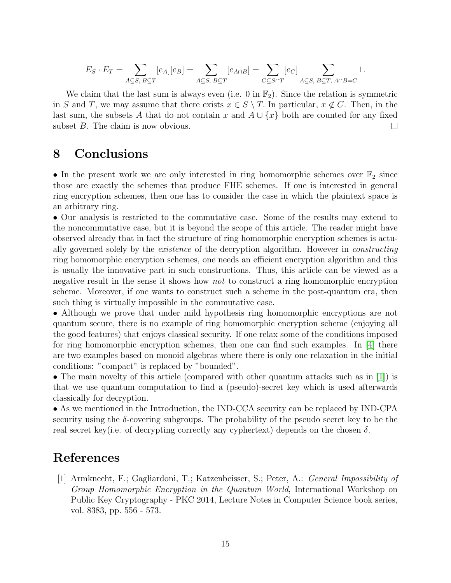$$
E_S \cdot E_T = \sum_{A \subseteq S, B \subseteq T} [e_A][e_B] = \sum_{A \subseteq S, B \subseteq T} [e_{A \cap B}] = \sum_{C \subseteq S \cap T} [e_C] \sum_{A \subseteq S, B \subseteq T, A \cap B = C} 1.
$$

We claim that the last sum is always even (i.e. 0 in  $\mathbb{F}_2$ ). Since the relation is symmetric in S and T, we may assume that there exists  $x \in S \setminus T$ . In particular,  $x \notin C$ . Then, in the last sum, the subsets A that do not contain x and  $A \cup \{x\}$  both are counted for any fixed subset B. The claim is now obvious.  $\Box$ 

### 8 Conclusions

• In the present work we are only interested in ring homomorphic schemes over  $\mathbb{F}_2$  since those are exactly the schemes that produce FHE schemes. If one is interested in general ring encryption schemes, then one has to consider the case in which the plaintext space is an arbitrary ring.

• Our analysis is restricted to the commutative case. Some of the results may extend to the noncommutative case, but it is beyond the scope of this article. The reader might have observed already that in fact the structure of ring homomorphic encryption schemes is actually governed solely by the existence of the decryption algorithm. However in constructing ring homomorphic encryption schemes, one needs an efficient encryption algorithm and this is usually the innovative part in such constructions. Thus, this article can be viewed as a negative result in the sense it shows how *not* to construct a ring homomorphic encryption scheme. Moreover, if one wants to construct such a scheme in the post-quantum era, then such thing is virtually impossible in the commutative case.

• Although we prove that under mild hypothesis ring homomorphic encryptions are not quantum secure, there is no example of ring homomorphic encryption scheme (enjoying all the good features) that enjoys classical security. If one relax some of the conditions imposed for ring homomorphic encryption schemes, then one can find such examples. In [\[4\]](#page-15-13) there are two examples based on monoid algebras where there is only one relaxation in the initial conditions: "compact" is replaced by "bounded".

• The main novelty of this article (compared with other quantum attacks such as in [\[1\]](#page-14-0)) is that we use quantum computation to find a (pseudo)-secret key which is used afterwards classically for decryption.

• As we mentioned in the Introduction, the IND-CCA security can be replaced by IND-CPA security using the  $\delta$ -covering subgroups. The probability of the pseudo secret key to be the real secret key(i.e. of decrypting correctly any cyphertext) depends on the chosen  $\delta$ .

# References

<span id="page-14-0"></span>[1] Armknecht, F.; Gagliardoni, T.; Katzenbeisser, S.; Peter, A.: General Impossibility of Group Homomorphic Encryption in the Quantum World, International Workshop on Public Key Cryptography - PKC 2014, Lecture Notes in Computer Science book series, vol. 8383, pp. 556 - 573.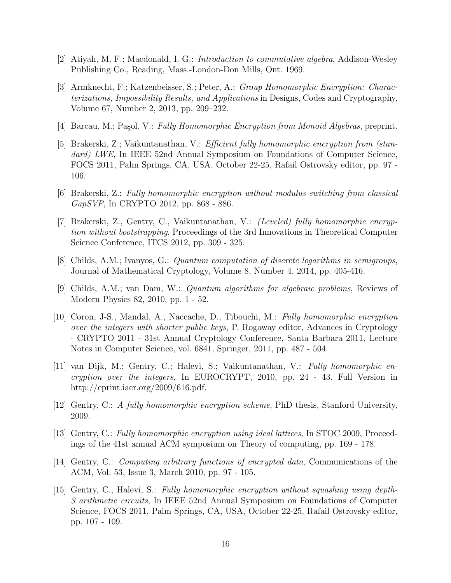- <span id="page-15-9"></span>[2] Atiyah, M. F.; Macdonald, I. G.: Introduction to commutative algebra, Addison-Wesley Publishing Co., Reading, Mass.-London-Don Mills, Ont. 1969.
- <span id="page-15-10"></span>[3] Armknecht, F.; Katzenbeisser, S.; Peter, A.: Group Homomorphic Encryption: Characterizations, Impossibility Results, and Applications in Designs, Codes and Cryptography, Volume 67, Number 2, 2013, pp. 209–232.
- <span id="page-15-13"></span>[4] Barcau, M.; Paşol, V.: Fully Homomorphic Encryption from Monoid Algebras, preprint.
- <span id="page-15-5"></span>[5] Brakerski, Z.; Vaikuntanathan, V.: Efficient fully homomorphic encryption from (standard) LWE, In IEEE 52nd Annual Symposium on Foundations of Computer Science, FOCS 2011, Palm Springs, CA, USA, October 22-25, Rafail Ostrovsky editor, pp. 97 - 106.
- <span id="page-15-7"></span>[6] Brakerski, Z.: Fully homomorphic encryption without modulus switching from classical GapSVP, In CRYPTO 2012, pp. 868 - 886.
- <span id="page-15-6"></span>[7] Brakerski, Z., Gentry, C., Vaikuntanathan, V.: (Leveled) fully homomorphic encryption without bootstrapping, Proceedings of the 3rd Innovations in Theoretical Computer Science Conference, ITCS 2012, pp. 309 - 325.
- <span id="page-15-11"></span>[8] Childs, A.M.; Ivanyos, G.: Quantum computation of discrete logarithms in semigroups, Journal of Mathematical Cryptology, Volume 8, Number 4, 2014, pp. 405-416.
- <span id="page-15-12"></span>[9] Childs, A.M.; van Dam, W.: Quantum algorithms for algebraic problems, Reviews of Modern Physics 82, 2010, pp. 1 - 52.
- <span id="page-15-3"></span>[10] Coron, J-S., Mandal, A., Naccache, D., Tibouchi, M.: Fully homomorphic encryption over the integers with shorter public keys, P. Rogaway editor, Advances in Cryptology - CRYPTO 2011 - 31st Annual Cryptology Conference, Santa Barbara 2011, Lecture Notes in Computer Science, vol. 6841, Springer, 2011, pp. 487 - 504.
- <span id="page-15-2"></span>[11] van Dijk, M.; Gentry, C.; Halevi, S.; Vaikuntanathan, V.: Fully homomorphic encryption over the integers, In EUROCRYPT, 2010, pp. 24 - 43. Full Version in http://eprint.iacr.org/2009/616.pdf.
- <span id="page-15-0"></span>[12] Gentry, C.: A fully homomorphic encryption scheme, PhD thesis, Stanford University, 2009.
- <span id="page-15-1"></span>[13] Gentry, C.: Fully homomorphic encryption using ideal lattices, In STOC 2009, Proceedings of the 41st annual ACM symposium on Theory of computing, pp. 169 - 178.
- <span id="page-15-8"></span>[14] Gentry, C.: Computing arbitrary functions of encrypted data, Communications of the ACM, Vol. 53, Issue 3, March 2010, pp. 97 - 105.
- <span id="page-15-4"></span>[15] Gentry, C., Halevi, S.: Fully homomorphic encryption without squashing using depth-3 arithmetic circuits, In IEEE 52nd Annual Symposium on Foundations of Computer Science, FOCS 2011, Palm Springs, CA, USA, October 22-25, Rafail Ostrovsky editor, pp. 107 - 109.